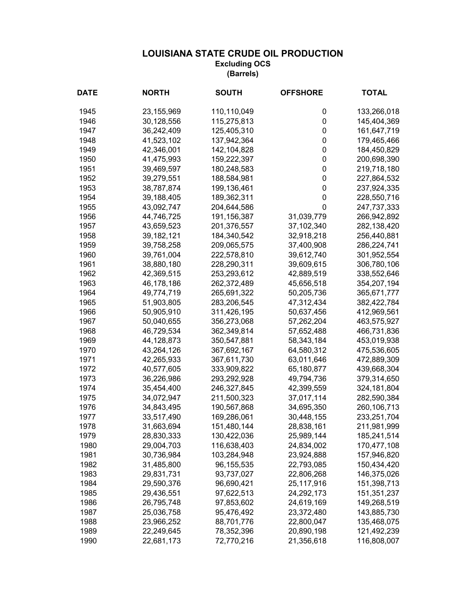| <b>DATE</b> | <b>NORTH</b> | <b>SOUTH</b> | <b>OFFSHORE</b> | <b>TOTAL</b>  |
|-------------|--------------|--------------|-----------------|---------------|
| 1945        | 23,155,969   | 110,110,049  | 0               | 133,266,018   |
| 1946        | 30,128,556   | 115,275,813  | 0               | 145,404,369   |
| 1947        | 36,242,409   | 125,405,310  | 0               | 161,647,719   |
| 1948        | 41,523,102   | 137,942,364  | 0               | 179,465,466   |
| 1949        | 42,346,001   | 142,104,828  | 0               | 184,450,829   |
| 1950        | 41,475,993   | 159,222,397  | 0               | 200,698,390   |
| 1951        | 39,469,597   | 180,248,583  | 0               | 219,718,180   |
| 1952        | 39,279,551   | 188,584,981  | 0               | 227,864,532   |
| 1953        | 38,787,874   | 199,136,461  | 0               | 237,924,335   |
| 1954        | 39,188,405   | 189,362,311  | 0               | 228,550,716   |
| 1955        | 43,092,747   | 204,644,586  | 0               | 247,737,333   |
| 1956        | 44,746,725   | 191,156,387  | 31,039,779      | 266,942,892   |
| 1957        | 43,659,523   | 201,376,557  | 37,102,340      | 282,138,420   |
| 1958        | 39, 182, 121 | 184,340,542  | 32,918,218      | 256,440,881   |
| 1959        | 39,758,258   | 209,065,575  | 37,400,908      | 286,224,741   |
| 1960        | 39,761,004   | 222,578,810  | 39,612,740      | 301,952,554   |
| 1961        | 38,880,180   | 228,290,311  | 39,609,615      | 306,780,106   |
| 1962        | 42,369,515   | 253,293,612  | 42,889,519      | 338,552,646   |
| 1963        | 46,178,186   | 262,372,489  | 45,656,518      | 354,207,194   |
| 1964        | 49,774,719   | 265,691,322  | 50,205,736      | 365,671,777   |
| 1965        | 51,903,805   | 283,206,545  | 47,312,434      | 382,422,784   |
| 1966        | 50,905,910   | 311,426,195  | 50,637,456      | 412,969,561   |
| 1967        | 50,040,655   | 356,273,068  | 57,262,204      | 463,575,927   |
| 1968        | 46,729,534   | 362,349,814  | 57,652,488      | 466,731,836   |
| 1969        | 44,128,873   | 350,547,881  | 58,343,184      | 453,019,938   |
| 1970        | 43,264,126   | 367,692,167  | 64,580,312      | 475,536,605   |
| 1971        | 42,265,933   | 367,611,730  | 63,011,646      | 472,889,309   |
| 1972        | 40,577,605   | 333,909,822  | 65,180,877      | 439,668,304   |
| 1973        | 36,226,986   | 293,292,928  | 49,794,736      | 379,314,650   |
| 1974        | 35,454,400   | 246,327,845  | 42,399,559      | 324, 181, 804 |
| 1975        | 34,072,947   | 211,500,323  | 37,017,114      | 282,590,384   |
| 1976        | 34,843,495   | 190,567,868  | 34,695,350      | 260,106,713   |
| 1977        | 33,517,490   | 169,286,061  | 30,448,155      | 233,251,704   |
| 1978        | 31,663,694   | 151,480,144  | 28,838,161      | 211,981,999   |
| 1979        | 28,830,333   | 130,422,036  | 25,989,144      | 185,241,514   |
| 1980        | 29,004,703   | 116,638,403  | 24,834,002      | 170,477,108   |
| 1981        | 30,736,984   | 103,284,948  | 23,924,888      | 157,946,820   |
| 1982        | 31,485,800   | 96, 155, 535 | 22,793,085      | 150,434,420   |
| 1983        | 29,831,731   | 93,737,027   | 22,806,268      | 146,375,026   |
| 1984        | 29,590,376   | 96,690,421   | 25,117,916      | 151,398,713   |
| 1985        | 29,436,551   | 97,622,513   | 24,292,173      | 151,351,237   |
| 1986        | 26,795,748   | 97,853,602   | 24,619,169      | 149,268,519   |
| 1987        | 25,036,758   | 95,476,492   | 23,372,480      | 143,885,730   |
| 1988        | 23,966,252   | 88,701,776   | 22,800,047      | 135,468,075   |
| 1989        | 22,249,645   | 78,352,396   | 20,890,198      | 121,492,239   |
| 1990        | 22,681,173   | 72,770,216   | 21,356,618      | 116,808,007   |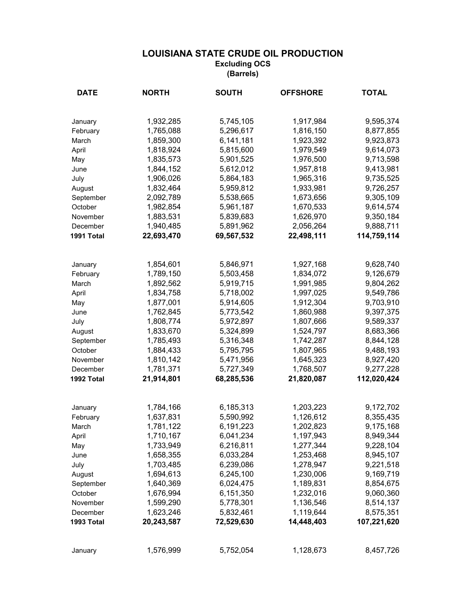| <b>DATE</b> | <b>NORTH</b> | <b>SOUTH</b> | <b>OFFSHORE</b>         | <b>TOTAL</b> |
|-------------|--------------|--------------|-------------------------|--------------|
|             |              |              |                         |              |
| January     | 1,932,285    | 5,745,105    | 1,917,984               | 9,595,374    |
| February    | 1,765,088    | 5,296,617    | 1,816,150               | 8,877,855    |
| March       | 1,859,300    | 6,141,181    | 1,923,392               | 9,923,873    |
| April       | 1,818,924    | 5,815,600    | 1,979,549               | 9,614,073    |
| May         | 1,835,573    | 5,901,525    | 1,976,500               | 9,713,598    |
| June        | 1,844,152    | 5,612,012    | 1,957,818               | 9,413,981    |
| July        | 1,906,026    | 5,864,183    | 1,965,316               | 9,735,525    |
| August      | 1,832,464    | 5,959,812    | 1,933,981               | 9,726,257    |
| September   | 2,092,789    | 5,538,665    | 1,673,656               | 9,305,109    |
| October     | 1,982,854    | 5,961,187    | 1,670,533               | 9,614,574    |
| November    | 1,883,531    | 5,839,683    | 1,626,970               | 9,350,184    |
| December    | 1,940,485    | 5,891,962    | 2,056,264               | 9,888,711    |
| 1991 Total  | 22,693,470   | 69,567,532   | 22,498,111              | 114,759,114  |
|             |              |              |                         |              |
| January     | 1,854,601    | 5,846,971    | 1,927,168               | 9,628,740    |
| February    | 1,789,150    | 5,503,458    | 1,834,072               | 9,126,679    |
| March       | 1,892,562    | 5,919,715    | 1,991,985               | 9,804,262    |
| April       | 1,834,758    | 5,718,002    | 1,997,025               | 9,549,786    |
| May         | 1,877,001    | 5,914,605    | 1,912,304               | 9,703,910    |
| June        | 1,762,845    | 5,773,542    | 1,860,988               | 9,397,375    |
| July        | 1,808,774    | 5,972,897    | 1,807,666               | 9,589,337    |
| August      | 1,833,670    | 5,324,899    | 1,524,797               | 8,683,366    |
| September   | 1,785,493    | 5,316,348    | 1,742,287               | 8,844,128    |
| October     | 1,884,433    | 5,795,795    | 1,807,965               | 9,488,193    |
| November    | 1,810,142    | 5,471,956    | 1,645,323               | 8,927,420    |
| December    | 1,781,371    | 5,727,349    | 1,768,507               | 9,277,228    |
| 1992 Total  | 21,914,801   | 68,285,536   | 21,820,087              | 112,020,424  |
|             |              |              |                         |              |
| January     | 1,784,166    | 6,185,313    | 1,203,223               | 9,172,702    |
| February    | 1,637,831    | 5,590,992    | 1,126,612               | 8,355,435    |
| March       | 1,781,122    | 6,191,223    | 1,202,823               | 9,175,168    |
| April       | 1,710,167    | 6,041,234    | 1,197,943               | 8,949,344    |
| May         | 1,733,949    | 6,216,811    | 1,277,344               | 9,228,104    |
| June        | 1,658,355    | 6,033,284    | 1,253,468               | 8,945,107    |
| July        | 1,703,485    | 6,239,086    | 1,278,947               | 9,221,518    |
| August      | 1,694,613    | 6,245,100    | 1,230,006               | 9,169,719    |
| September   | 1,640,369    | 6,024,475    | 1,189,831               | 8,854,675    |
| October     | 1,676,994    | 6,151,350    | 1,232,016               | 9,060,360    |
| November    | 1,599,290    | 5,778,301    | 1,136,546               | 8,514,137    |
| December    | 1,623,246    | 5,832,461    | 1,119,644<br>14,448,403 | 8,575,351    |
| 1993 Total  | 20,243,587   | 72,529,630   |                         | 107,221,620  |
| January     | 1,576,999    | 5,752,054    | 1,128,673               | 8,457,726    |
|             |              |              |                         |              |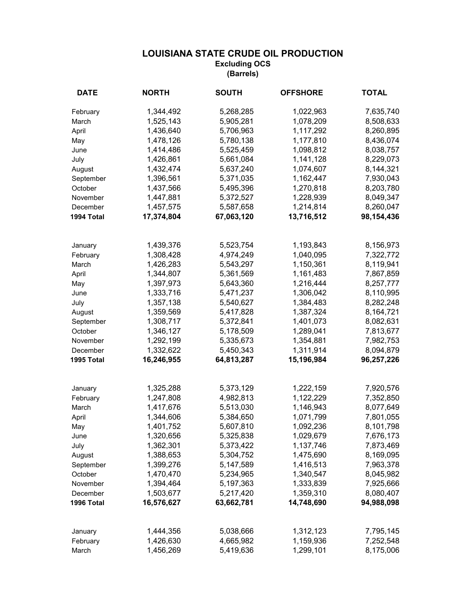| <b>DATE</b> | <b>NORTH</b> | <b>SOUTH</b> | <b>OFFSHORE</b> | <b>TOTAL</b> |
|-------------|--------------|--------------|-----------------|--------------|
| February    | 1,344,492    | 5,268,285    | 1,022,963       | 7,635,740    |
| March       | 1,525,143    | 5,905,281    | 1,078,209       | 8,508,633    |
| April       | 1,436,640    | 5,706,963    | 1,117,292       | 8,260,895    |
| May         | 1,478,126    | 5,780,138    | 1,177,810       | 8,436,074    |
| June        | 1,414,486    | 5,525,459    | 1,098,812       | 8,038,757    |
| July        | 1,426,861    | 5,661,084    | 1,141,128       | 8,229,073    |
| August      | 1,432,474    | 5,637,240    | 1,074,607       | 8,144,321    |
| September   | 1,396,561    | 5,371,035    | 1,162,447       | 7,930,043    |
| October     | 1,437,566    | 5,495,396    | 1,270,818       | 8,203,780    |
| November    | 1,447,881    | 5,372,527    | 1,228,939       | 8,049,347    |
| December    | 1,457,575    | 5,587,658    | 1,214,814       | 8,260,047    |
| 1994 Total  | 17,374,804   | 67,063,120   | 13,716,512      | 98,154,436   |
|             |              |              |                 |              |
| January     | 1,439,376    | 5,523,754    | 1,193,843       | 8,156,973    |
| February    | 1,308,428    | 4,974,249    | 1,040,095       | 7,322,772    |
| March       | 1,426,283    | 5,543,297    | 1,150,361       | 8,119,941    |
| April       | 1,344,807    | 5,361,569    | 1,161,483       | 7,867,859    |
| May         | 1,397,973    | 5,643,360    | 1,216,444       | 8,257,777    |
| June        | 1,333,716    | 5,471,237    | 1,306,042       | 8,110,995    |
| July        | 1,357,138    | 5,540,627    | 1,384,483       | 8,282,248    |
| August      | 1,359,569    | 5,417,828    | 1,387,324       | 8,164,721    |
| September   | 1,308,717    | 5,372,841    | 1,401,073       | 8,082,631    |
| October     | 1,346,127    | 5,178,509    | 1,289,041       | 7,813,677    |
| November    | 1,292,199    | 5,335,673    | 1,354,881       | 7,982,753    |
| December    | 1,332,622    | 5,450,343    | 1,311,914       | 8,094,879    |
| 1995 Total  | 16,246,955   | 64,813,287   | 15,196,984      | 96,257,226   |
|             |              |              |                 |              |
| January     | 1,325,288    | 5,373,129    | 1,222,159       | 7,920,576    |
| February    | 1,247,808    | 4,982,813    | 1,122,229       | 7,352,850    |
| March       | 1,417,676    | 5,513,030    | 1,146,943       | 8,077,649    |
| April       | 1,344,606    | 5,384,650    | 1,071,799       | 7,801,055    |
| May         | 1,401,752    | 5,607,810    | 1,092,236       | 8,101,798    |
| June        | 1,320,656    | 5,325,838    | 1,029,679       | 7,676,173    |
| July        | 1,362,301    | 5,373,422    | 1,137,746       | 7,873,469    |
| August      | 1,388,653    | 5,304,752    | 1,475,690       | 8,169,095    |
| September   | 1,399,276    | 5,147,589    | 1,416,513       | 7,963,378    |
| October     | 1,470,470    | 5,234,965    | 1,340,547       | 8,045,982    |
| November    | 1,394,464    | 5,197,363    | 1,333,839       | 7,925,666    |
| December    | 1,503,677    | 5,217,420    | 1,359,310       | 8,080,407    |
| 1996 Total  | 16,576,627   | 63,662,781   | 14,748,690      | 94,988,098   |
| January     | 1,444,356    | 5,038,666    | 1,312,123       | 7,795,145    |
| February    | 1,426,630    | 4,665,982    | 1,159,936       | 7,252,548    |
| March       | 1,456,269    | 5,419,636    | 1,299,101       | 8,175,006    |
|             |              |              |                 |              |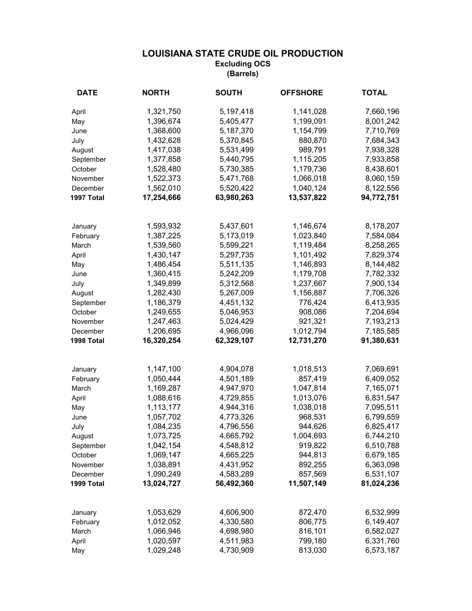| <b>DATE</b>          | <b>NORTH</b>           | <b>SOUTH</b>           | <b>OFFSHORE</b>      | <b>TOTAL</b>           |
|----------------------|------------------------|------------------------|----------------------|------------------------|
| April                | 1,321,750              | 5,197,418              | 1,141,028            | 7,660,196              |
| May                  | 1,396,674              | 5,405,477              | 1,199,091            | 8,001,242              |
| June                 | 1,368,600              | 5,187,370              | 1,154,799            | 7,710,769              |
| July                 | 1,432,628              | 5,370,845              | 880,870              | 7,684,343              |
| August               | 1,417,038              | 5,531,499              | 989,791              | 7,938,328              |
| September            | 1,377,858              | 5,440,795              | 1,115,205            | 7,933,858              |
| October              | 1,528,480              | 5,730,385              | 1,179,736            | 8,438,601              |
| November             | 1,522,373              | 5,471,768              | 1,066,018            | 8,060,159              |
| December             | 1,562,010              | 5,520,422              | 1,040,124            | 8,122,556              |
| 1997 Total           | 17,254,666             | 63,980,263             | 13,537,822           | 94,772,751             |
|                      |                        |                        |                      |                        |
| January              | 1,593,932              | 5,437,601              | 1,146,674            | 8,178,207              |
| February             | 1,387,225              | 5,173,019              | 1,023,840            | 7,584,084              |
| March                | 1,539,560              | 5,599,221              | 1,119,484            | 8,258,265              |
| April                | 1,430,147              | 5,297,735              | 1,101,492            | 7,829,374              |
| May                  | 1,486,454              | 5,511,135              | 1,146,893            | 8,144,482              |
| June                 | 1,360,415              | 5,242,209              | 1,179,708            | 7,782,332              |
| July                 | 1,349,899              | 5,312,568              | 1,237,667            | 7,900,134              |
| August               | 1,282,430<br>1,186,379 | 5,267,009              | 1,156,887<br>776,424 | 7,706,326              |
| September<br>October | 1,249,655              | 4,451,132<br>5,046,953 | 908,086              | 6,413,935              |
| November             | 1,247,463              | 5,024,429              | 921,321              | 7,204,694<br>7,193,213 |
| December             | 1,206,695              | 4,966,096              | 1,012,794            | 7,185,585              |
| 1998 Total           | 16,320,254             | 62,329,107             | 12,731,270           | 91,380,631             |
|                      |                        |                        |                      |                        |
| January              | 1,147,100              | 4,904,078              | 1,018,513            | 7,069,691              |
| February             | 1,050,444              | 4,501,189              | 857,419              | 6,409,052              |
| March                | 1,169,287              | 4,947,970              | 1,047,814            | 7,165,071              |
| April                | 1,088,616              | 4,729,855              | 1,013,076            | 6,831,547              |
| May                  | 1,113,177              | 4,944,316              | 1,038,018            | 7,095,511              |
| June                 | 1,057,702              | 4,773,326              | 968,531              | 6,799,559              |
| July                 | 1,084,235              | 4,796,556              | 944,626              | 6,825,417              |
| August               | 1,073,725              | 4,665,792              | 1,004,693            | 6,744,210              |
| September            | 1,042,154              | 4,548,812              | 919,822              | 6,510,788              |
| October              | 1,069,147              | 4,665,225              | 944,813              | 6,679,185              |
| November             | 1,038,891              | 4,431,952              | 892,255              | 6,363,098              |
| December             | 1,090,249              | 4,583,289              | 857,569              | 6,531,107              |
| 1999 Total           | 13,024,727             | 56,492,360             | 11,507,149           | 81,024,236             |
| January              | 1,053,629              | 4,606,900              | 872,470              | 6,532,999              |
| February             | 1,012,052              | 4,330,580              | 806,775              | 6,149,407              |
| March                | 1,066,946              | 4,698,980              | 816,101              | 6,582,027              |
| April                | 1,020,597              | 4,511,983              | 799,180              | 6,331,760              |
| May                  | 1,029,248              | 4,730,909              | 813,030              | 6,573,187              |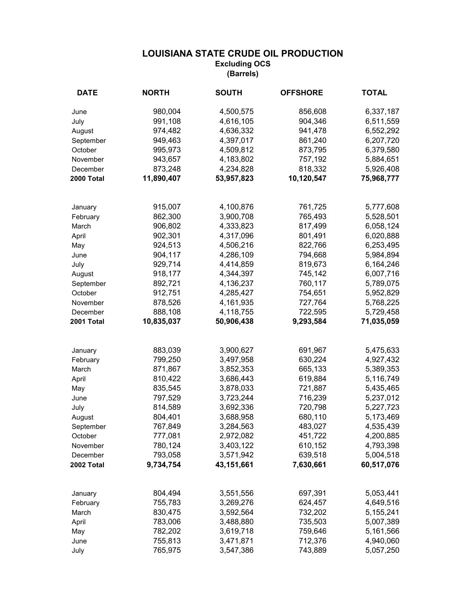| <b>DATE</b>            | <b>NORTH</b>          | <b>SOUTH</b>            | <b>OFFSHORE</b> | <b>TOTAL</b> |
|------------------------|-----------------------|-------------------------|-----------------|--------------|
| June                   | 980,004               | 4,500,575               | 856,608         | 6,337,187    |
| July                   | 991,108               | 4,616,105               | 904,346         | 6,511,559    |
| August                 | 974,482               | 4,636,332               | 941,478         | 6,552,292    |
| September              | 949,463               | 4,397,017               | 861,240         | 6,207,720    |
| October                | 995,973               | 4,509,812               | 873,795         | 6,379,580    |
| November               | 943,657               | 4,183,802               | 757,192         | 5,884,651    |
| December               | 873,248               | 4,234,828               | 818,332         | 5,926,408    |
| 2000 Total             | 11,890,407            | 53,957,823              | 10,120,547      | 75,968,777   |
|                        |                       |                         |                 |              |
| January                | 915,007               | 4,100,876               | 761,725         | 5,777,608    |
| February               | 862,300               | 3,900,708               | 765,493         | 5,528,501    |
| March                  | 906,802               | 4,333,823               | 817,499         | 6,058,124    |
| April                  | 902,301               | 4,317,096               | 801,491         | 6,020,888    |
| May                    | 924,513               | 4,506,216               | 822,766         | 6,253,495    |
| June                   | 904,117               | 4,286,109               | 794,668         | 5,984,894    |
| July                   | 929,714               | 4,414,859               | 819,673         | 6,164,246    |
| August                 | 918,177               | 4,344,397               | 745,142         | 6,007,716    |
| September              | 892,721               | 4,136,237               | 760,117         | 5,789,075    |
| October                | 912,751               | 4,285,427               | 754,651         | 5,952,829    |
| November               | 878,526               | 4,161,935               | 727,764         | 5,768,225    |
| December<br>2001 Total | 888,108<br>10,835,037 | 4,118,755<br>50,906,438 | 722,595         | 5,729,458    |
|                        |                       |                         | 9,293,584       | 71,035,059   |
| January                | 883,039               | 3,900,627               | 691,967         | 5,475,633    |
| February               | 799,250               | 3,497,958               | 630,224         | 4,927,432    |
| March                  | 871,867               | 3,852,353               | 665,133         | 5,389,353    |
| April                  | 810,422               | 3,686,443               | 619,884         | 5,116,749    |
| May                    | 835,545               | 3,878,033               | 721,887         | 5,435,465    |
| June                   | 797,529               | 3,723,244               | 716,239         | 5,237,012    |
| July                   | 814,589               | 3,692,336               | 720,798         | 5,227,723    |
| August                 | 804,401               | 3,688,958               | 680,110         | 5,173,469    |
| September              | 767,849               | 3,284,563               | 483,027         | 4,535,439    |
| October                | 777,081               | 2,972,082               | 451,722         | 4,200,885    |
| November               | 780,124               | 3,403,122               | 610,152         | 4,793,398    |
| December               | 793,058               | 3,571,942               | 639,518         | 5,004,518    |
| 2002 Total             | 9,734,754             | 43,151,661              | 7,630,661       | 60,517,076   |
| January                | 804,494               | 3,551,556               | 697,391         | 5,053,441    |
| February               | 755,783               | 3,269,276               | 624,457         | 4,649,516    |
| March                  | 830,475               | 3,592,564               | 732,202         | 5,155,241    |
| April                  | 783,006               | 3,488,880               | 735,503         | 5,007,389    |
| May                    | 782,202               | 3,619,718               | 759,646         | 5,161,566    |
| June                   | 755,813               | 3,471,871               | 712,376         | 4,940,060    |
| July                   | 765,975               | 3,547,386               | 743,889         | 5,057,250    |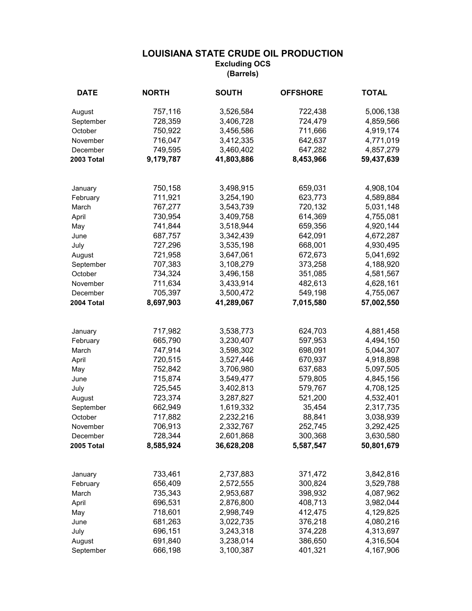| <b>DATE</b> | <b>NORTH</b> | <b>SOUTH</b> | <b>OFFSHORE</b> | <b>TOTAL</b> |
|-------------|--------------|--------------|-----------------|--------------|
| August      | 757,116      | 3,526,584    | 722,438         | 5,006,138    |
| September   | 728,359      | 3,406,728    | 724,479         | 4,859,566    |
| October     | 750,922      | 3,456,586    | 711,666         | 4,919,174    |
| November    | 716,047      | 3,412,335    | 642,637         | 4,771,019    |
| December    | 749,595      | 3,460,402    | 647,282         | 4,857,279    |
| 2003 Total  | 9,179,787    | 41,803,886   | 8,453,966       | 59,437,639   |
| January     | 750,158      | 3,498,915    | 659,031         | 4,908,104    |
| February    | 711,921      | 3,254,190    | 623,773         | 4,589,884    |
| March       | 767,277      | 3,543,739    | 720,132         | 5,031,148    |
| April       | 730,954      | 3,409,758    | 614,369         | 4,755,081    |
| May         | 741,844      | 3,518,944    | 659,356         | 4,920,144    |
| June        | 687,757      | 3,342,439    | 642,091         | 4,672,287    |
| July        | 727,296      | 3,535,198    | 668,001         | 4,930,495    |
| August      | 721,958      | 3,647,061    | 672,673         | 5,041,692    |
| September   | 707,383      | 3,108,279    | 373,258         | 4,188,920    |
| October     | 734,324      | 3,496,158    | 351,085         | 4,581,567    |
| November    | 711,634      | 3,433,914    | 482,613         | 4,628,161    |
| December    | 705,397      | 3,500,472    | 549,198         | 4,755,067    |
| 2004 Total  | 8,697,903    | 41,289,067   | 7,015,580       | 57,002,550   |
|             |              |              |                 |              |
| January     | 717,982      | 3,538,773    | 624,703         | 4,881,458    |
| February    | 665,790      | 3,230,407    | 597,953         | 4,494,150    |
| March       | 747,914      | 3,598,302    | 698,091         | 5,044,307    |
| April       | 720,515      | 3,527,446    | 670,937         | 4,918,898    |
| May         | 752,842      | 3,706,980    | 637,683         | 5,097,505    |
| June        | 715,874      | 3,549,477    | 579,805         | 4,845,156    |
| July        | 725,545      | 3,402,813    | 579,767         | 4,708,125    |
| August      | 723,374      | 3,287,827    | 521,200         | 4,532,401    |
| September   | 662,949      | 1,619,332    | 35,454          | 2,317,735    |
| October     | 717,882      | 2,232,216    | 88,841          | 3,038,939    |
| November    | 706,913      | 2,332,767    | 252,745         | 3,292,425    |
| December    | 728,344      | 2,601,868    | 300,368         | 3,630,580    |
| 2005 Total  | 8,585,924    | 36,628,208   | 5,587,547       | 50,801,679   |
| January     | 733,461      | 2,737,883    | 371,472         | 3,842,816    |
| February    | 656,409      | 2,572,555    | 300,824         | 3,529,788    |
| March       | 735,343      | 2,953,687    | 398,932         | 4,087,962    |
| April       | 696,531      | 2,876,800    | 408,713         | 3,982,044    |
| May         | 718,601      | 2,998,749    | 412,475         | 4,129,825    |
| June        | 681,263      | 3,022,735    | 376,218         | 4,080,216    |
| July        | 696,151      | 3,243,318    | 374,228         | 4,313,697    |
| August      | 691,840      | 3,238,014    | 386,650         | 4,316,504    |
| September   | 666,198      | 3,100,387    | 401,321         | 4,167,906    |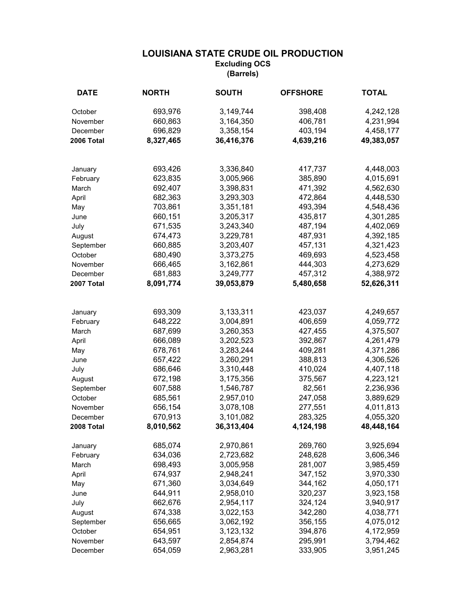| <b>DATE</b> | <b>NORTH</b> | <b>SOUTH</b> | <b>OFFSHORE</b> | <b>TOTAL</b> |
|-------------|--------------|--------------|-----------------|--------------|
| October     | 693,976      | 3,149,744    | 398,408         | 4,242,128    |
| November    | 660,863      | 3,164,350    | 406,781         | 4,231,994    |
| December    | 696,829      | 3,358,154    | 403,194         | 4,458,177    |
| 2006 Total  | 8,327,465    | 36,416,376   | 4,639,216       | 49,383,057   |
|             |              |              |                 |              |
| January     | 693,426      | 3,336,840    | 417,737         | 4,448,003    |
| February    | 623,835      | 3,005,966    | 385,890         | 4,015,691    |
| March       | 692,407      | 3,398,831    | 471,392         | 4,562,630    |
| April       | 682,363      | 3,293,303    | 472,864         | 4,448,530    |
| May         | 703,861      | 3,351,181    | 493,394         | 4,548,436    |
| June        | 660,151      | 3,205,317    | 435,817         | 4,301,285    |
| July        | 671,535      | 3,243,340    | 487,194         | 4,402,069    |
| August      | 674,473      | 3,229,781    | 487,931         | 4,392,185    |
| September   | 660,885      | 3,203,407    | 457,131         | 4,321,423    |
| October     | 680,490      | 3,373,275    | 469,693         | 4,523,458    |
| November    | 666,465      | 3,162,861    | 444,303         | 4,273,629    |
| December    | 681,883      | 3,249,777    | 457,312         | 4,388,972    |
| 2007 Total  | 8,091,774    | 39,053,879   | 5,480,658       | 52,626,311   |
|             |              |              |                 |              |
| January     | 693,309      | 3,133,311    | 423,037         | 4,249,657    |
| February    | 648,222      | 3,004,891    | 406,659         | 4,059,772    |
| March       | 687,699      | 3,260,353    | 427,455         | 4,375,507    |
| April       | 666,089      | 3,202,523    | 392,867         | 4,261,479    |
| May         | 678,761      | 3,283,244    | 409,281         | 4,371,286    |
| June        | 657,422      | 3,260,291    | 388,813         | 4,306,526    |
| July        | 686,646      | 3,310,448    | 410,024         | 4,407,118    |
| August      | 672,198      | 3,175,356    | 375,567         | 4,223,121    |
| September   | 607,588      | 1,546,787    | 82,561          | 2,236,936    |
| October     | 685,561      | 2,957,010    | 247,058         | 3,889,629    |
| November    | 656,154      | 3,078,108    | 277,551         | 4,011,813    |
| December    | 670,913      | 3,101,082    | 283,325         | 4,055,320    |
| 2008 Total  | 8,010,562    | 36,313,404   | 4,124,198       | 48,448,164   |
| January     | 685,074      | 2,970,861    | 269,760         | 3,925,694    |
| February    | 634,036      | 2,723,682    | 248,628         | 3,606,346    |
| March       | 698,493      | 3,005,958    | 281,007         | 3,985,459    |
| April       | 674,937      | 2,948,241    | 347,152         | 3,970,330    |
| May         | 671,360      | 3,034,649    | 344,162         | 4,050,171    |
| June        | 644,911      | 2,958,010    | 320,237         | 3,923,158    |
| July        | 662,676      | 2,954,117    | 324,124         | 3,940,917    |
| August      | 674,338      | 3,022,153    | 342,280         | 4,038,771    |
| September   | 656,665      | 3,062,192    | 356,155         | 4,075,012    |
| October     | 654,951      | 3,123,132    | 394,876         | 4,172,959    |
| November    | 643,597      | 2,854,874    | 295,991         | 3,794,462    |
| December    | 654,059      | 2,963,281    | 333,905         | 3,951,245    |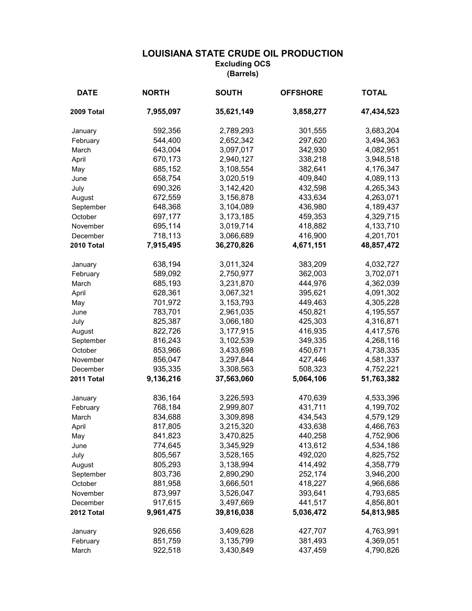| <b>DATE</b> | <b>NORTH</b> | <b>SOUTH</b> | <b>OFFSHORE</b> | <b>TOTAL</b> |
|-------------|--------------|--------------|-----------------|--------------|
| 2009 Total  | 7,955,097    | 35,621,149   | 3,858,277       | 47,434,523   |
| January     | 592,356      | 2,789,293    | 301,555         | 3,683,204    |
| February    | 544,400      | 2,652,342    | 297,620         | 3,494,363    |
| March       | 643,004      | 3,097,017    | 342,930         | 4,082,951    |
| April       | 670,173      | 2,940,127    | 338,218         | 3,948,518    |
| May         | 685,152      | 3,108,554    | 382,641         | 4,176,347    |
| June        | 658,754      | 3,020,519    | 409,840         | 4,089,113    |
| July        | 690,326      | 3,142,420    | 432,598         | 4,265,343    |
| August      | 672,559      | 3,156,878    | 433,634         | 4,263,071    |
| September   | 648,368      | 3,104,089    | 436,980         | 4,189,437    |
| October     | 697,177      | 3,173,185    | 459,353         | 4,329,715    |
| November    | 695,114      | 3,019,714    | 418,882         | 4,133,710    |
| December    | 718,113      | 3,066,689    | 416,900         | 4,201,701    |
| 2010 Total  | 7,915,495    | 36,270,826   | 4,671,151       | 48,857,472   |
| January     | 638,194      | 3,011,324    | 383,209         | 4,032,727    |
| February    | 589,092      | 2,750,977    | 362,003         | 3,702,071    |
| March       | 685,193      | 3,231,870    | 444,976         | 4,362,039    |
| April       | 628,361      | 3,067,321    | 395,621         | 4,091,302    |
| May         | 701,972      | 3,153,793    | 449,463         | 4,305,228    |
| June        | 783,701      | 2,961,035    | 450,821         | 4,195,557    |
| July        | 825,387      | 3,066,180    | 425,303         | 4,316,871    |
| August      | 822,726      | 3,177,915    | 416,935         | 4,417,576    |
| September   | 816,243      | 3,102,539    | 349,335         | 4,268,116    |
| October     | 853,966      | 3,433,698    | 450,671         | 4,738,335    |
| November    | 856,047      | 3,297,844    | 427,446         | 4,581,337    |
| December    | 935,335      | 3,308,563    | 508,323         | 4,752,221    |
| 2011 Total  | 9,136,216    | 37,563,060   | 5,064,106       | 51,763,382   |
| January     | 836,164      | 3,226,593    | 470,639         | 4,533,396    |
| February    | 768,184      | 2,999,807    | 431,711         | 4,199,702    |
| March       | 834,688      | 3,309,898    | 434,543         | 4,579,129    |
| April       | 817,805      | 3,215,320    | 433,638         | 4,466,763    |
| May         | 841,823      | 3,470,825    | 440,258         | 4,752,906    |
| June        | 774,645      | 3,345,929    | 413,612         | 4,534,186    |
| July        | 805,567      | 3,528,165    | 492,020         | 4,825,752    |
| August      | 805,293      | 3,138,994    | 414,492         | 4,358,779    |
| September   | 803,736      | 2,890,290    | 252,174         | 3,946,200    |
| October     | 881,958      | 3,666,501    | 418,227         | 4,966,686    |
| November    | 873,997      | 3,526,047    | 393,641         | 4,793,685    |
| December    | 917,615      | 3,497,669    | 441,517         | 4,856,801    |
| 2012 Total  | 9,961,475    | 39,816,038   | 5,036,472       | 54,813,985   |
| January     | 926,656      | 3,409,628    | 427,707         | 4,763,991    |
| February    | 851,759      | 3,135,799    | 381,493         | 4,369,051    |
| March       | 922,518      | 3,430,849    | 437,459         | 4,790,826    |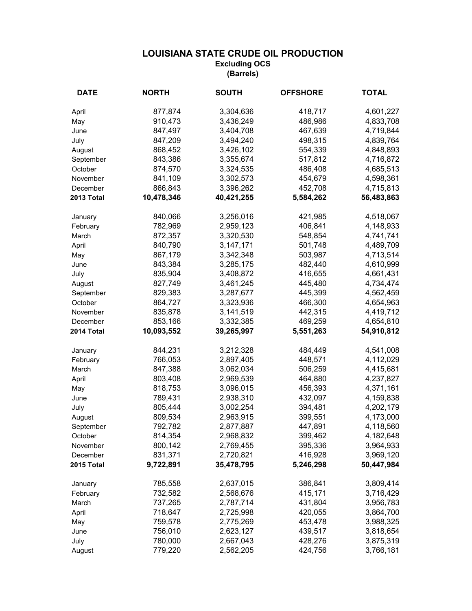| <b>DATE</b> | <b>NORTH</b> | <b>SOUTH</b> | <b>OFFSHORE</b> | <b>TOTAL</b> |
|-------------|--------------|--------------|-----------------|--------------|
| April       | 877,874      | 3,304,636    | 418,717         | 4,601,227    |
| May         | 910,473      | 3,436,249    | 486,986         | 4,833,708    |
| June        | 847,497      | 3,404,708    | 467,639         | 4,719,844    |
| July        | 847,209      | 3,494,240    | 498,315         | 4,839,764    |
| August      | 868,452      | 3,426,102    | 554,339         | 4,848,893    |
| September   | 843,386      | 3,355,674    | 517,812         | 4,716,872    |
| October     | 874,570      | 3,324,535    | 486,408         | 4,685,513    |
| November    | 841,109      | 3,302,573    | 454,679         | 4,598,361    |
| December    | 866,843      | 3,396,262    | 452,708         | 4,715,813    |
| 2013 Total  | 10,478,346   | 40,421,255   | 5,584,262       | 56,483,863   |
| January     | 840,066      | 3,256,016    | 421,985         | 4,518,067    |
| February    | 782,969      | 2,959,123    | 406,841         | 4,148,933    |
| March       | 872,357      | 3,320,530    | 548,854         | 4,741,741    |
| April       | 840,790      | 3, 147, 171  | 501,748         | 4,489,709    |
| May         | 867,179      | 3,342,348    | 503,987         | 4,713,514    |
| June        | 843,384      | 3,285,175    | 482,440         | 4,610,999    |
| July        | 835,904      | 3,408,872    | 416,655         | 4,661,431    |
| August      | 827,749      | 3,461,245    | 445,480         | 4,734,474    |
| September   | 829,383      | 3,287,677    | 445,399         | 4,562,459    |
| October     | 864,727      | 3,323,936    | 466,300         | 4,654,963    |
| November    | 835,878      | 3,141,519    | 442,315         | 4,419,712    |
| December    | 853,166      | 3,332,385    | 469,259         | 4,654,810    |
| 2014 Total  | 10,093,552   | 39,265,997   | 5,551,263       | 54,910,812   |
| January     | 844,231      | 3,212,328    | 484,449         | 4,541,008    |
| February    | 766,053      | 2,897,405    | 448,571         | 4,112,029    |
| March       | 847,388      | 3,062,034    | 506,259         | 4,415,681    |
| April       | 803,408      | 2,969,539    | 464,880         | 4,237,827    |
| May         | 818,753      | 3,096,015    | 456,393         | 4,371,161    |
| June        | 789,431      | 2,938,310    | 432,097         | 4,159,838    |
| July        | 805,444      | 3,002,254    | 394,481         | 4,202,179    |
| August      | 809,534      | 2,963,915    | 399,551         | 4,173,000    |
| September   | 792,782      | 2,877,887    | 447,891         | 4,118,560    |
| October     | 814,354      | 2,968,832    | 399,462         | 4,182,648    |
| November    | 800,142      | 2,769,455    | 395,336         | 3,964,933    |
| December    | 831,371      | 2,720,821    | 416,928         | 3,969,120    |
| 2015 Total  | 9,722,891    | 35,478,795   | 5,246,298       | 50,447,984   |
| January     | 785,558      | 2,637,015    | 386,841         | 3,809,414    |
| February    | 732,582      | 2,568,676    | 415,171         | 3,716,429    |
| March       | 737,265      | 2,787,714    | 431,804         | 3,956,783    |
| April       | 718,647      | 2,725,998    | 420,055         | 3,864,700    |
| May         | 759,578      | 2,775,269    | 453,478         | 3,988,325    |
| June        | 756,010      | 2,623,127    | 439,517         | 3,818,654    |
| July        | 780,000      | 2,667,043    | 428,276         | 3,875,319    |
| August      | 779,220      | 2,562,205    | 424,756         | 3,766,181    |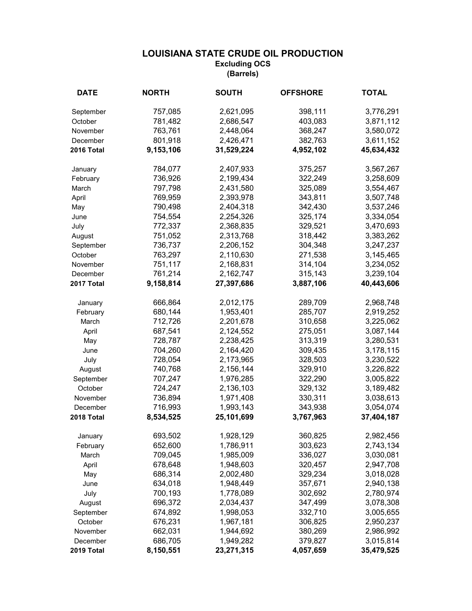| <b>DATE</b> | <b>NORTH</b> | <b>SOUTH</b> | <b>OFFSHORE</b> | <b>TOTAL</b> |
|-------------|--------------|--------------|-----------------|--------------|
| September   | 757,085      | 2,621,095    | 398,111         | 3,776,291    |
| October     | 781,482      | 2,686,547    | 403,083         | 3,871,112    |
| November    | 763,761      | 2,448,064    | 368,247         | 3,580,072    |
| December    | 801,918      | 2,426,471    | 382,763         | 3,611,152    |
| 2016 Total  | 9,153,106    | 31,529,224   | 4,952,102       | 45,634,432   |
| January     | 784,077      | 2,407,933    | 375,257         | 3,567,267    |
| February    | 736,926      | 2,199,434    | 322,249         | 3,258,609    |
| March       | 797,798      | 2,431,580    | 325,089         | 3,554,467    |
| April       | 769,959      | 2,393,978    | 343,811         | 3,507,748    |
| May         | 790,498      | 2,404,318    | 342,430         | 3,537,246    |
| June        | 754,554      | 2,254,326    | 325,174         | 3,334,054    |
| July        | 772,337      | 2,368,835    | 329,521         | 3,470,693    |
| August      | 751,052      | 2,313,768    | 318,442         | 3,383,262    |
| September   | 736,737      | 2,206,152    | 304,348         | 3,247,237    |
| October     | 763,297      | 2,110,630    | 271,538         | 3,145,465    |
| November    | 751,117      | 2,168,831    | 314,104         | 3,234,052    |
| December    | 761,214      | 2,162,747    | 315,143         | 3,239,104    |
| 2017 Total  | 9,158,814    | 27,397,686   | 3,887,106       | 40,443,606   |
| January     | 666,864      | 2,012,175    | 289,709         | 2,968,748    |
| February    | 680,144      | 1,953,401    | 285,707         | 2,919,252    |
| March       | 712,726      | 2,201,678    | 310,658         | 3,225,062    |
| April       | 687,541      | 2,124,552    | 275,051         | 3,087,144    |
| May         | 728,787      | 2,238,425    | 313,319         | 3,280,531    |
| June        | 704,260      | 2,164,420    | 309,435         | 3,178,115    |
| July        | 728,054      | 2,173,965    | 328,503         | 3,230,522    |
| August      | 740,768      | 2,156,144    | 329,910         | 3,226,822    |
| September   | 707,247      | 1,976,285    | 322,290         | 3,005,822    |
| October     | 724,247      | 2,136,103    | 329,132         | 3,189,482    |
| November    | 736,894      | 1,971,408    | 330,311         | 3,038,613    |
| December    | 716,993      | 1,993,143    | 343,938         | 3,054,074    |
| 2018 Total  | 8,534,525    | 25,101,699   | 3,767,963       | 37,404,187   |
| January     | 693,502      | 1,928,129    | 360,825         | 2,982,456    |
| February    | 652,600      | 1,786,911    | 303,623         | 2,743,134    |
| March       | 709,045      | 1,985,009    | 336,027         | 3,030,081    |
| April       | 678,648      | 1,948,603    | 320,457         | 2,947,708    |
| May         | 686,314      | 2,002,480    | 329,234         | 3,018,028    |
| June        | 634,018      | 1,948,449    | 357,671         | 2,940,138    |
| July        | 700,193      | 1,778,089    | 302,692         | 2,780,974    |
| August      | 696,372      | 2,034,437    | 347,499         | 3,078,308    |
| September   | 674,892      | 1,998,053    | 332,710         | 3,005,655    |
| October     | 676,231      | 1,967,181    | 306,825         | 2,950,237    |
| November    | 662,031      | 1,944,692    | 380,269         | 2,986,992    |
| December    | 686,705      | 1,949,282    | 379,827         | 3,015,814    |
| 2019 Total  | 8,150,551    | 23,271,315   | 4,057,659       | 35,479,525   |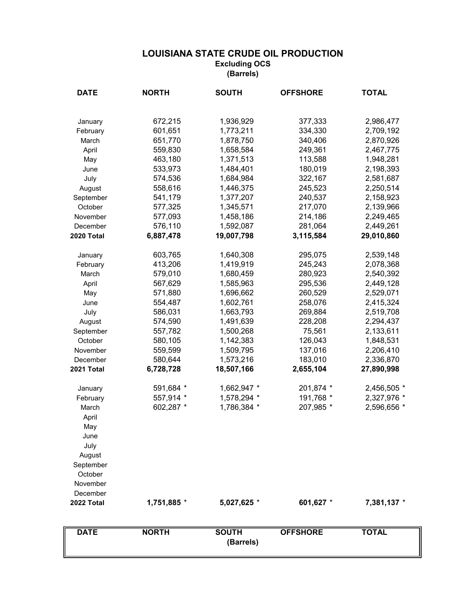| <b>DATE</b> | <b>NORTH</b> | <b>SOUTH</b>              | <b>OFFSHORE</b> | <b>TOTAL</b> |
|-------------|--------------|---------------------------|-----------------|--------------|
|             |              |                           |                 |              |
| January     | 672,215      | 1,936,929                 | 377,333         | 2,986,477    |
| February    | 601,651      | 1,773,211                 | 334,330         | 2,709,192    |
| March       | 651,770      | 1,878,750                 | 340,406         | 2,870,926    |
| April       | 559,830      | 1,658,584                 | 249,361         | 2,467,775    |
| May         | 463,180      | 1,371,513                 | 113,588         | 1,948,281    |
| June        | 533,973      | 1,484,401                 | 180,019         | 2,198,393    |
| July        | 574,536      | 1,684,984                 | 322,167         | 2,581,687    |
| August      | 558,616      | 1,446,375                 | 245,523         | 2,250,514    |
| September   | 541,179      | 1,377,207                 | 240,537         | 2,158,923    |
| October     | 577,325      | 1,345,571                 | 217,070         | 2,139,966    |
| November    | 577,093      | 1,458,186                 | 214,186         | 2,249,465    |
| December    | 576,110      | 1,592,087                 | 281,064         | 2,449,261    |
| 2020 Total  | 6,887,478    | 19,007,798                | 3,115,584       | 29,010,860   |
| January     | 603,765      | 1,640,308                 | 295,075         | 2,539,148    |
| February    | 413,206      | 1,419,919                 | 245,243         | 2,078,368    |
| March       | 579,010      | 1,680,459                 | 280,923         | 2,540,392    |
| April       | 567,629      | 1,585,963                 | 295,536         | 2,449,128    |
| May         | 571,880      | 1,696,662                 | 260,529         | 2,529,071    |
| June        | 554,487      | 1,602,761                 | 258,076         | 2,415,324    |
| July        | 586,031      | 1,663,793                 | 269,884         | 2,519,708    |
| August      | 574,590      | 1,491,639                 | 228,208         | 2,294,437    |
| September   | 557,782      | 1,500,268                 | 75,561          | 2,133,611    |
| October     | 580,105      | 1,142,383                 | 126,043         | 1,848,531    |
| November    | 559,599      | 1,509,795                 | 137,016         | 2,206,410    |
| December    | 580,644      | 1,573,216                 | 183,010         | 2,336,870    |
| 2021 Total  | 6,728,728    | 18,507,166                | 2,655,104       | 27,890,998   |
| January     | 591,684 *    | 1,662,947 *               | 201,874 *       | 2,456,505 *  |
| February    | 557,914 *    | 1,578,294 *               | 191,768 *       | 2,327,976 *  |
| March       | 602,287 *    | 1,786,384 *               | 207,985 *       | 2,596,656 *  |
| April       |              |                           |                 |              |
| May         |              |                           |                 |              |
| June        |              |                           |                 |              |
| July        |              |                           |                 |              |
| August      |              |                           |                 |              |
| September   |              |                           |                 |              |
| October     |              |                           |                 |              |
| November    |              |                           |                 |              |
| December    |              |                           |                 |              |
| 2022 Total  | 1,751,885 *  | 5,027,625 *               | 601,627 *       | 7,381,137 *  |
|             |              |                           |                 |              |
| <b>DATE</b> | <b>NORTH</b> | <b>SOUTH</b><br>(Barrels) | <b>OFFSHORE</b> | <b>TOTAL</b> |